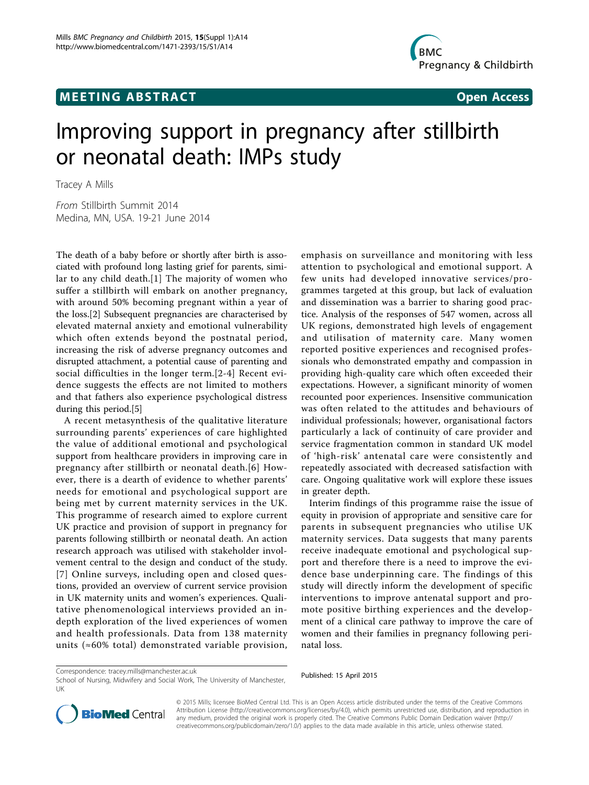## **MEETING ABSTRACT ACCESS** Open Access



# Improving support in pregnancy after stillbirth or neonatal death: IMPs study

Tracey A Mills

From Stillbirth Summit 2014 Medina, MN, USA. 19-21 June 2014

The death of a baby before or shortly after birth is associated with profound long lasting grief for parents, similar to any child death.[[1\]](#page--1-0) The majority of women who suffer a stillbirth will embark on another pregnancy, with around 50% becoming pregnant within a year of the loss.[[2\]](#page--1-0) Subsequent pregnancies are characterised by elevated maternal anxiety and emotional vulnerability which often extends beyond the postnatal period, increasing the risk of adverse pregnancy outcomes and disrupted attachment, a potential cause of parenting and social difficulties in the longer term.[[2-4\]](#page--1-0) Recent evidence suggests the effects are not limited to mothers and that fathers also experience psychological distress during this period.[[5\]](#page--1-0)

A recent metasynthesis of the qualitative literature surrounding parents' experiences of care highlighted the value of additional emotional and psychological support from healthcare providers in improving care in pregnancy after stillbirth or neonatal death.[[6](#page--1-0)] However, there is a dearth of evidence to whether parents' needs for emotional and psychological support are being met by current maternity services in the UK. This programme of research aimed to explore current UK practice and provision of support in pregnancy for parents following stillbirth or neonatal death. An action research approach was utilised with stakeholder involvement central to the design and conduct of the study. [[7\]](#page--1-0) Online surveys, including open and closed questions, provided an overview of current service provision in UK maternity units and women's experiences. Qualitative phenomenological interviews provided an indepth exploration of the lived experiences of women and health professionals. Data from 138 maternity units (≈60% total) demonstrated variable provision,

emphasis on surveillance and monitoring with less attention to psychological and emotional support. A few units had developed innovative services/programmes targeted at this group, but lack of evaluation and dissemination was a barrier to sharing good practice. Analysis of the responses of 547 women, across all UK regions, demonstrated high levels of engagement and utilisation of maternity care. Many women reported positive experiences and recognised professionals who demonstrated empathy and compassion in providing high-quality care which often exceeded their expectations. However, a significant minority of women recounted poor experiences. Insensitive communication was often related to the attitudes and behaviours of individual professionals; however, organisational factors particularly a lack of continuity of care provider and service fragmentation common in standard UK model of 'high-risk' antenatal care were consistently and repeatedly associated with decreased satisfaction with care. Ongoing qualitative work will explore these issues in greater depth.

Interim findings of this programme raise the issue of equity in provision of appropriate and sensitive care for parents in subsequent pregnancies who utilise UK maternity services. Data suggests that many parents receive inadequate emotional and psychological support and therefore there is a need to improve the evidence base underpinning care. The findings of this study will directly inform the development of specific interventions to improve antenatal support and promote positive birthing experiences and the development of a clinical care pathway to improve the care of women and their families in pregnancy following perinatal loss.

School of Nursing, Midwifery and Social Work, The University of Manchester, UK





© 2015 Mills; licensee BioMed Central Ltd. This is an Open Access article distributed under the terms of the Creative Commons Attribution License [\(http://creativecommons.org/licenses/by/4.0](http://creativecommons.org/licenses/by/4.0)), which permits unrestricted use, distribution, and reproduction in any medium, provided the original work is properly cited. The Creative Commons Public Domain Dedication waiver [\(http://](http://creativecommons.org/publicdomain/zero/1.0/) [creativecommons.org/publicdomain/zero/1.0/](http://creativecommons.org/publicdomain/zero/1.0/)) applies to the data made available in this article, unless otherwise stated.

Published: 15 April 2015 Correspondence: [tracey.mills@manchester.ac.uk](mailto:tracey.mills@manchester.ac.uk)